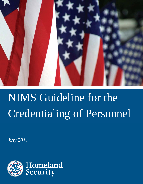

# NIMS Guideline for the Credentialing of Personnel

*July 2011*

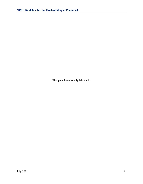This page intentionally left blank.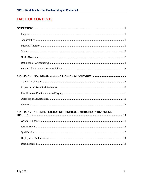# **TABLE OF CONTENTS**

| <b>SECTION 2 - CREDENTIALING OF FEDERAL EMERGENCY RESPONSE</b> |  |
|----------------------------------------------------------------|--|
|                                                                |  |
|                                                                |  |
|                                                                |  |
|                                                                |  |
|                                                                |  |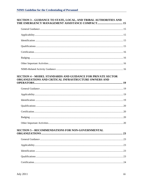#### SECTION 3 - GUIDANCE TO STATE, LOCAL, AND TRIBAL AUTHORITIES AND

#### **SECTION 4 - MODEL STANDARDS AND GUIDANCE FOR PRIVATE SECTOR** ORGANIZATIONS AND CRITICAL INFRASTRUCTURE OWNERS AND

#### **SECTION 5 - RECOMMENDATIONS FOR NON-GOVERNMENTAL ORGANIZATIONE**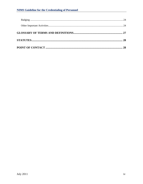| 28 |
|----|
| 28 |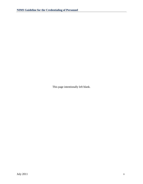This page intentionally left blank.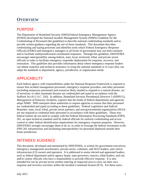## **OVERVIEW**

#### PURPOSE

The Department of Homeland Security (DHS)/Federal Emergency Management Agency (FEMA) developed the National Incident Management System (NIMS) Guideline for the Credentialing of Personnel (the guideline) to describe national credentialing standards and to provide written guidance regarding the use of those standards. This document describes credentialing and typing processes and identifies tools which Federal Emergency Response Officials (FERO) and emergency managers at all levels of government may use both routinely and to facilitate multijurisdictional coordinated responses. Through this guideline*,* DHS/FEMA encourages interoperability among federal, state, local, territorial, tribal, and private sector officials in order to facilitate emergency responder deployment for response, recovery, and restoration. This guideline also provides information about where emergency response leaders can obtain expertise and technical assistance in using the national standards or in ways they can adapt the standards to department, agency, jurisdiction, or organization needs.

## APPLICABILITY

Each federal agency with responsibilities under the National Response Framework is required to ensure that incident management personnel, emergency response providers, and other personnel (including temporary personnel) and resources likely needed to respond to a natural disaster, act of terrorism, or other manmade disaster are credentialed and typed in accordance with the Stafford Act (6 U.S.C. 320). In addition, Homeland Security Presidential Directive 5 (HSPD-5), *Management of Domestic Incidents*, requires that the heads of federal departments and agencies adopt NIMS. DHS interprets these authorities to require agencies to ensure that their personnel are credentialed and typed according to these guidelines. Federal Legislative and Judicial Branches, state, local, tribal, private sector partners, and non-governmental organizations (NGO) are not required to credential their personnel in accordance with these guidelines. These nonfederal entities do not need to comply with the Federal Information Processing Standards (FIPS) 201, an open technical standard used by federal officials for uniform credentialing and access control or other federal identification requirements for emergency response purposes. However, DHS/FEMA strongly encourages them to do so, in order to leverage the federal investment in the FIPS 201 infrastructure and facilitating interoperability for personnel deployed outside their home jurisdiction.

## INTENDED AUDIENCE

This document, developed and maintained by DHS/FEMA, is written for government executives; emergency management practitioners; private-sector, volunteer, and NGO leaders; and critical infrastructure (CI) owners and operators. It is addressed to senior elected and appointed leaders, such as federal department and/or agency heads, state governors, mayors, tribal leaders, and city and/or county officials who have a responsibility to provide effective response. It is also intended for use by private-sector entities entering an impacted area to carry out their own response and recovery activities within the Incident Command System (ICS). For these users,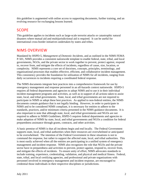this guideline is augmented with online access to supporting documents, further training, and an evolving resource for exchanging lessons learned.

## **SCOPE**

This guideline applies to incidents such as large-scale terrorist attacks or catastrophic natural disasters where mutual aid and multijurisdictional aid is required. It can be useful for international cross-border initiatives undertaken by states and tribes.

## NIMS OVERVIEW

Mandated by HSPD-5, *Management of Domestic Incidents*, and as outlined in the NIMS FEMA P-501, NIMS provides a consistent nationwide template to enable federal, state, tribal, and local governments, NGOs, and the private sector to work together to prevent, protect against, respond to, recover from, and mitigate the effects of incidents, regardless of cause, size, location, or complexity. NIMS represents a core set of doctrines, concepts, principles, terminology, and organizational processes that enables effective, efficient, and collaborative incident management. This consistency provides the foundation for utilization of NIMS for all incidents, ranging from daily occurrences to incidents requiring a coordinated federal response.

The NIMS documents integrate best practices into a comprehensive framework for use by emergency management and response personnel in an all-hazards context nationwide. HSPD-5 requires all federal departments and agencies to adopt NIMS and to use it in their individual incident management programs and activities, as well as in support of all actions taken to assist state, local, and tribal governments. State, local, and tribal governments are not required to participate in NIMS or adopt these best practices. As applied to non-federal entities, the NIMS documents contain guidance that is not legally binding. However, in order to participate in NIMS and to be considered NIMS compliant, it is necessary for entities to adhere to the standards, practices, and/or minimum criteria presented in the NIMS guidance documents. It is also important to note that although state, local, and tribal governments and NGOs are not required to adhere to NIMS Guidelines, HSPD-5 requires federal departments and agencies to make adoption of NIMS by state, local, and tribal governments and NGOs a condition for federal preparedness assistance through grants, contracts, and other activities.

A basic premise of NIMS is that all incidents begin and end locally. The Federal Government supports state, local, and tribal authorities when their resources are overwhelmed or anticipated to be overwhelmed. The intention of the Federal Government in these situations is not to command the response, but rather to support the affected state, local, and tribal authorities. This is most easily achieved when all the entities are participating in a unified system of emergency management and incident response. NIMS also recognizes the role that NGOs and the private sector have in preparedness and activities to prevent, protect against, respond to, recover from, and mitigate the effects of incidents. To ensure unity of effort, NIMS advocates standards to include training, experience, credentialing, validation, and physical and medical fitness. Federal, state, tribal, and local certifying agencies, and professional and private organizations with personnel involved in emergency management and incident response, are encouraged to credential those individuals in their respective disciplines or jurisdictions.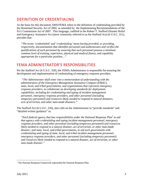## DEFINITION OF CREDENTIALING

As the basis for this document, DHS/FEMA refers to the definition of credentialing provided by the Homeland Security Act of 2002, as amended by the Implementing Recommendations of the 9/11 Commission Act of 2007. This language, codified in the Robert T. Stafford Disaster Relief and Emergency Assistance Act (more commonly referred to as the Stafford Act) (6 U.S.C. 311), provides that:

*"The terms 'credentialed' and 'credentialing' mean having provided, or providing, respectively, documentation that identifies personnel and authenticates and verifies the qualifications of such personnel by ensuring that such personnel possess a minimum common level of training, experience, physical and medical fitness, and capability appropriate for a particular position…"*

#### FEMA ADMINISTRATOR'S RESPONSIBILITIES

Per the Stafford Act (6 U.S.C. 320), the FEMA Administrator is responsible for ensuring the development and implementation of credentialing of emergency response providers.

 *"The Administrator shall enter into a memorandum of understanding with the administrators of the Emergency Management Assistance Compact (EMAC), state, local, and tribal governments, and organizations that represent emergency response providers, to collaborate on developing standards for deployment capabilities, including for credentialing and typing of incident management personnel, emergency response providers, and other personnel (including temporary personnel) and resources likely needed to respond to natural disasters, acts of terrorism, and other man-made disasters."* 

The Stafford Act (6 U.S.C. 320), also calls on the Administrator to "provide standards" and "detailed written guidance" to:

"Each federal agency that has responsibilities under the National Response Plan<sup>1</sup> to aid *that agency with credentialing and typing incident management personnel, emergency response providers, and other personnel (including temporary personnel) and resources likely needed to respond to a natural disaster, act of terrorism, or other man-made disaster; and state, local, and tribal governments, to aid such governments with credentialing and typing of state, local, and tribal incident management personnel, emergency response providers, and other personnel (including temporary personnel) and resources likely needed to respond to a natural disaster, act of terrorism, or other man-made disaster."* 

 1 The National Response Framework superseded the National Response Plan.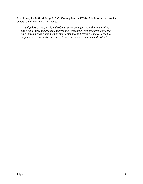In addition, the Stafford Act (6 U.S.C. 320) requires the FEMA Administrator to provide expertise and technical assistance to:

*"…aid federal, state, local, and tribal government agencies with credentialing and typing incident management personnel, emergency response providers, and other personnel (including temporary personnel) and resources likely needed to respond to a natural disaster, act of terrorism, or other man-made disaster."*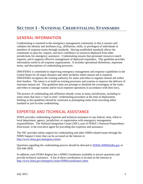## GENERAL INFORMATION

Credentialing is essential to the emergency management community in that it ensures and validates the identity and attributes (e.g., affiliations, skills, or privileges) of individuals or members of response teams through standards. Having established standards allows the community to plan for, request, and have confidence in resources deployed from other jurisdictions for emergency assistance. Credentialing ensures that personnel resources match requests, and it supports effective management of deployed responders. This guideline provides information useful to all response organizations. It includes operational definitions, important terms, and descriptions of credentialing processes.

DHS/FEMA is committed to improving emergency management and response capabilities in the United States for all major disasters and other incidents where mutual aid is required. DHS/FEMA recognizes the existing authority for states and tribes to regulate mutual aid within their borders. The intent is to build on existing processes and systems to improve the delivery of interstate mutual aid. This guideline does not preempt or diminish the sovereignty of the states and tribes to manage routine and/or local response operations in accordance with their laws.

The process of credentialing and affiliation already exists in many jurisdictions, including in some states that have a "just in time" credentialing procedure at the time of deployment. Nothing in this guideline should be construed as preempting states from executing either standard or just-in-time credentialing.

## EXPERTISE AND TECHNICAL ASSISTANCE

FEMA provides credentialing expertise and technical assistance to any federal, state, tribal or local department, agency, jurisdiction, or organization with emergency management responsibilities. The National Integration Center (NIC), part of FEMA's National Preparedness Directorate, is the executive agent for providing this expertise and assistance.

The NIC provides online support for credentialing and other NIMS-related issues through the NIMS Support Center that can be accessed on the Internet at http://www.fema.gov/emergency/nims/.

Questions regarding the credentialing process should be directed to FEMA-NIMS@dhs.gov or 202-646-3850.

In addition, each FEMA Region has a NIMS Coordinator available to answer questions and provide technical assistance. A list of these coordinators is located on the Internet at http://www.fema.gov/emergency/nims/NIMScoordinators.shtm.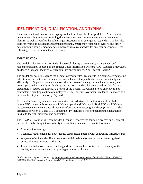## IDENTIFICATION, QUALIFICATION, AND TYPING

Identification, Qualification, and Typing are the key elements of the guideline. As defined in law, credentialing involves providing documentation that communicates and authenticates identity, as well as verifies the holder's qualifications as an emergency responder. The law also calls for typing of incident management personnel, emergency response providers, and other personnel (including temporary personnel) and resources needed for emergency response. The following sections describe these elements.

#### **IDENTIFICATION**

The guideline for verifying non-federal personal identity of emergency management and response personnel is based on the federal Chief Information Officers (CIO) Council's May 2009 guidance, "Personal Identity Verification Interoperability for Non-Federal Issuers.<sup>2</sup>"

The guidelines seek to leverage the Federal Government's investments in creating a credentialing infrastructure so that non-federal entities can achieve interoperability more economically and efficiently. U.S. policy is to enhance security, increase efficiency, reduce identity fraud, and protect personal privacy by establishing a mandatory standard for secure and reliable forms of credentials issued by the Executive Branch of the Federal Government to its employees and contractors (including contractor employees). The Federal Government credential is known as a Personal Identity Verification (PIV) card.

A credential issued by a non-federal authority that is designed to be interoperable with the federal PIV credential is known as a PIV-Interoperable (PIV-I) card. Both PIV and PIV-I use the same open technical standard: Federal Information Processing Standards (FIPS) 201. The difference between PIV and PIV-I is that the PIV includes a type of background check that is unique to federal employees and contractors.

The PIV/PIV-I solution is recommended because it resolves the four core process and technical barriers to establishing interoperability in identification and access control systems:

- Common terminology;
- Technical requirements for how identity cards/media interact with controlling infrastructure;
- A system of unique identifiers that allow individuals and organizations to be recognized across all identity cards/ media; and
- Processes that allow issuance that support the requisite level of trust in the identity of the holder, as well as attributes and privileges where applicable.

 $\overline{a}$ 

<sup>&</sup>lt;sup>2</sup> Refer to www.cio.gov to obtain a copy http://www.cio.gov/documents\_details.cfm/uid/1F4376A0-2170-9AD7-F2D502311E4D26E9/structure/Information%20Technology/category/HSPD-12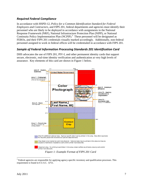#### *Required Federal Compliance*

In accordance with HSPD-12, *Policy for a Common Identification Standard for Federal Employees and Contractors*, and FIPS 201, federal departments and agencies must identify their personnel who are likely to be deployed in accordance with assignments in the National Response Framework (NRF), National Infrastructure Protection Plan (NIPP), or National Continuity Policy Implementation Plan (NCPIP). $3$  These personnel will be designated as FEROs, and their FIPS 201 credentials visually marked accordingly. Additionally, non-federal personnel assigned to work in federal offices will be credentialed in accordance with FIPS 201.

#### *Sample of Federal Information Processing Standards 201 Identification Card*

DHS advocates the use of FIPS 201, PIV-I, and other permanent identity cards that support secure, electronic, real-time identity verification and authentication at very high levels of assurance. Key elements of this card are shown in Figure 1 below.



<sup>&</sup>lt;sup>3</sup> Federal agencies are responsible for applying agency-specific inventory and qualification processes. This requirement is found in 6 U.S.C. §751.

 $\overline{a}$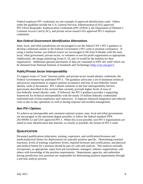Federal employee PIV credentials are one example of approved identification cards. Others under the guideline include the U.S. General Services Administration (GSA) approved PIV-I/First Responder Authentication Credentials (PIV-I/FRAC), the Department of Defense's Common Access Card (CAC), and private sector-issued GSA approved PIV-I employee credentials.

#### *Non‐Federal Government Identification Alternatives*

State, local, and tribal jurisdictions are encouraged to use the federal CIO's PIV-I guidance to develop credentials similar to the Federal Government's PIV cards to promote consistency. If using a similar format, non-federal issuers are encouraged to fill Zone 9-Header with the state, local, tribal government, private sector, or volunteer or not-for-profit organization as appropriate. Additionally, the image underlying Zones 8, 10, and 14 would be the emblem for their organization. Additional optional placements of data are contained in FIPS 201 itself which can be obtained from National Institute of Standards and Technology (http://csrc.nist.gov/).

#### *Public/Private Sector Interoperability*

To support issues of "trust" between public and private-sector issued identity credentials, the Federal Government has published PIV-I. The guidance advocates a set of minimum technical and process requirements to support uniform acceptance and trust of non-federally issued identity cards or documents. PIV-I details solutions to the four interoperability barriers (previously described in this section) that currently preclude higher levels of trust of non-federally issued identity cards. If followed, the PIV-I guidance provides a supporting framework for technical interoperability with the nearly 10 million federally credentialed uniformed and civilian employees and contractors. It supports enhanced integration and reduced costs in day-to-day operations as well as during response and incident management.

#### *Non PIV‐I Options*

To achieve an interoperable and consistent national system, state, local and tribal governments are encouraged, to the maximum degree possible, to follow the federal standard FIPS 201/HSPD-12 and GSA approved PIV-I. When this is not possible, non PIV-I organizations are asked to issue identification that matches, as closely as possible, the format of PIV-I cards.

#### **QUALIFICATION**

Personnel qualifications (education, training, experience, and certification/licensure and medical/physical fitness for deployment) are typically position specific. Determining essential functions, levels of training, experience levels, required licensure and certifications, and physical and medical fitness for a position should be part of a job-task analysis. This analysis normally incorporates, as appropriate, input from job incumbents, managers, industry organizations, and others with knowledge of the position requirements. Departments, agencies, and authorities having jurisdiction over positions are responsible for determining position requirements through a job-task analysis process.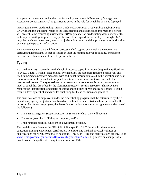Any person credentialed and authorized for deployment through Emergency Management Assistance Compact (EMAC) is qualified to serve in the role for which he or she is deployed.

NIMS guidance on credentialing, NIMS Guide 0002 (*National Credentialing Definition and Criteria)* and this guideline*,* refers to the identification and qualification information a person will present to the requesting jurisdiction. NIMS guidance on credentialing does not confer the authority or privilege to practice any profession. For responders not deployed through EMAC only the receiving department, agency, or jurisdiction can extend that privilege or authority after evaluating the person's information.

Two key elements in the qualification process include typing personnel and resources and certifying that personnel in fact possesses at least the minimum level of training, experience, licensure, certification, and fitness to perform the job.

## **Typing**

As noted in NIMS, type refers to the level of resource capability. According to the Stafford Act (6 U.S.C. 320(a)), typing (categorizing, by capability, the resources requested, deployed, and used in incidents) provides managers with additional information to aid in the selection and best use of resources likely needed to respond to natural disasters, acts of terrorism, and other manmade disasters. The type assigned to a resource or a component is based on a minimum level of capability described by the identified measure(s) for that resource. This provision requires the identification of specific positions and job titles of responding personnel. Typing requires development of standards for qualifying for these positions and job titles.

The qualifications of employees under the credentialing program shall be determined by their department, agency, or jurisdiction, based on the functions and missions these personnel will perform. For federal employees, the determination typically relates to assignments under one of the following.

- The NRF Emergency Support Function (ESF) under which they will operate;
- The sector(s) of the NIPP they will support; and/or
- Their national essential functions as government officials.

The guideline supplements the NIMS discipline specific Job Titles that list the minimum education, training, experience, certification, licensure, and medical/physical wellness as qualifications for NIMS credentialed positions. These Job Titles and qualifications are located at www.fema.gov/emergency/nims/ResourceMngmnt.shtm#item3. Figure 2 is an example of a position-specific qualification requirement for a Job Title.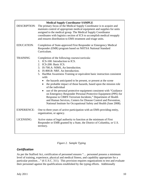| <b>DESCRIPTION:</b> | <b>Medical Supply Coordinator SAMPLE</b><br>The primary focus of the Medical Supply Coordinator is to acquire and<br>maintain control of appropriate medical equipment and supplies for units<br>assigned to the medical group. The Medical Supply Coordinator<br>coordinates with logistics section of ICS to accomplish medical resupply<br>and ensures distribution to EMS treatment and triage units.                                                                                                                                                                                                                                                                                                                                                                                               |
|---------------------|---------------------------------------------------------------------------------------------------------------------------------------------------------------------------------------------------------------------------------------------------------------------------------------------------------------------------------------------------------------------------------------------------------------------------------------------------------------------------------------------------------------------------------------------------------------------------------------------------------------------------------------------------------------------------------------------------------------------------------------------------------------------------------------------------------|
| <b>EDUCATION:</b>   | Completion of State-approved First Responder or Emergency Medical<br>Responder (EMR) program based on NHTSA National Standard<br>Curriculum.                                                                                                                                                                                                                                                                                                                                                                                                                                                                                                                                                                                                                                                            |
| <b>TRAINING</b>     | Completion of the following courses/curricula:<br>1. ICS-100: Introduction to ICS.<br>2. ICS-200: Basic ICS.<br>3. IS-700.A: NIMS, An Introduction.<br>4. IS-800.B: NRF, An Introduction.<br>5. HazMat Awareness Training or equivalent basic instruction consistent<br>with:<br>the hazards anticipated to be present, or present at the scene<br>the probable impact of those hazards, based upon the mission role<br>$\bullet$<br>of the individual<br>use of the personal protective equipment consistent with "Guidance"<br>on Emergency Responder Personal Protective Equipment (PPE) for<br>Response to CBRN Terrorism Incidents," Department of Health<br>and Human Services, Centers for Disease Control and Prevention,<br>National Institute for Occupational Safety and Health (June 2008). |
| <b>EXPERIENCE:</b>  | One to three years of active participation with an EMS-providing entity,<br>organization, or agency.                                                                                                                                                                                                                                                                                                                                                                                                                                                                                                                                                                                                                                                                                                    |
| LICENSING:          | Active status of legal authority to function at the minimum of First<br>Responder or EMR granted by a State, the District of Columbia, or U.S.<br>territory.                                                                                                                                                                                                                                                                                                                                                                                                                                                                                                                                                                                                                                            |

#### *Figure 2. Sample Typing*

#### *Certification*

As per the Stafford Act, certification of personnel ensures "… personnel possess a minimum level of training, experience, physical and medical fitness, and capability appropriate for a particular position..." (6 U.S.C. 311). This provision requires organizations to test and evaluate their personnel against the qualifications established by the typing efforts. Additionally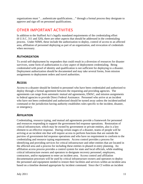organizations must "…authenticate qualifications…" through a formal process they designate to approve and sign off on personnel qualifications.

#### OTHER IMPORTANT ACTIVITIES

In addition to the Stafford Act's legally mandated requirements of the credentialing effort (6 U.S.C. 311 and 320), there are other aspects that should be addressed in the credentialing process. Under NIMS, these include the authorization to deploy, control of access to an affected area, affiliation of personnel deploying as part of an organization, and revocation of credentials when necessary.

#### **AUTHORIZATION**

To avoid self-deployment by responders that could result in a diversion of resources for disaster survivors, some form of authorization is a key aspect of deployment credentialing. Being credentialed with proof of identity and qualification is not sufficient for deploying to a disaster. Deployment authorization should be documented and may take several forms, from mission assignments to deployment orders and travel authorities.

#### **ACCESS**

Access to a disaster should be limited to personnel who have been credentialed and authorized to deploy through a formal agreement between the requesting and providing agencies. The agreements can range from automatic mutual aid agreements, EMAC, and mission assignments to federal agencies to provide Direct Federal Assistance. Personnel who arrive at an incident who have not been credentialed and authorized should be turned away unless the incident/unified command or the jurisdiction having authority establishes rules specific to the incident, disaster, or emergency.

#### **AFFILIATION**

Credentialing, resource typing, and mutual aid agreements provide a framework for personnel and resources responding to support the government-led response operations. Restoration of critical infrastructure, which may be owned by government or private entities, also is a key element to an effective response. During certain stages of a disaster, teams of people will be arriving at an incident site that will require access to perform functions that are outside the purview of government-led response operations and who have no requirement to conform to the credentialing and resource typing requirements. Access control provides a process for identifying and providing services for critical infrastructure and other entities that are located in the affected area and a process for including these entities in phased re-entry planning. An affiliation access process provides a control system for state and local officials, while enabling critical infrastructure owners and operators to designate recovery personnel, employees, contractors, and/or equipment to enter an incident area. Access control and affiliation documentation processes will be used by critical infrastructure owners and operators to deploy the personnel and equipment needed to restore their facilities and services within an incident area based on a timeline deemed appropriate by incident command. Since the CI within an incident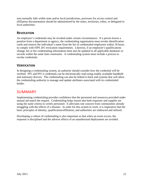area normally falls within state and/or local jurisdictions, processes for access control and affiliation documentation should be administered by the states, territories, tribes, or delegated to local authorities.

#### **REVOCATION**

An employee's credentials may be revoked under certain circumstances. If a person leaves a position from a department or agency, the credentialing organization must revoke identification cards and remove the individual's name from the list of credentialed employees within 18 hours to comply with FIPS 201 revocation requirements. Likewise, if an employee's qualifications change, his or her credentialing information must also be updated in all applicable databases or records within the same time constraints. A credentialing system must include a process to revoke credentials.

#### **VERIFICATION**

In designing a credentialing system, an authority should consider how the credential will be verified. PIV and PIV-I credentials can be electronically read using readily available handheld and stationary devices. The credentialing can also be linked to back end systems that will allow the credentialing authority to manage and update attributes associated with its credentialed holder.

#### SUMMARY

Implementing credentialing provides confidence that the personnel and resources provided under mutual aid match the request. Credentialing helps ensure that both requester and supplier are using the same criteria to certify personnel. It alleviates one concern from communities already struggling with the effects of a disaster. In order for this system to work, it is imperative that the basic principles of identity, qualification/affiliation, and authorities are embraced and utilized.

Developing a culture of credentialing is also important so that when an event occurs, the response is disciplined and the adverse effects of an unauthorized deployment are avoided.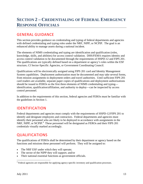# **SECTION 2 – CREDENTIALING OF FEDERAL EMERGENCY RESPONSE OFFICIALS**

## GENERAL GUIDANCE

This section provides guidance on credentialing and typing of federal departments and agencies with defined credentialing and typing roles under the NRF, NIPP, or NCPIP. The goal is an enhanced ability to manage assets during a national incident.

The elements of NIMS credentialing and typing are identification and qualification (roles, knowledge, skills, and abilities) for access control validation. DHS/FEMA requires identity and access control validation to be documented through the requirements of HSPD-12 and FIPS 201. The qualifications are typically defined based on a department or agency's roles within the ESF structure, CI Sector-Specific Agencies, or Government Coordinating Council.

Qualifications will be electronically assigned using FIPS 201 card and Identity Management System capabilities. Deployment authorization must be documented and may take several forms, from mission assignments to deployment orders and travel authorities. Until sufficient FIPS 201 card readers are available, separate paper copies of qualifications and deployment authorizations should be issued to FEROs so the first three elements of NIMS credentialing and typing identification, qualification/affiliation, and authority to deploy—can be inspected by access control personnel.

In addition to the requirements of this section, federal agencies and FEROs must be familiar with the guidelines in Section 1.

## IDENTIFICATION

Federal departments and agencies must comply with the requirements of HSPD-12/FIPS 201 to identify and designate employees and contractors. Federal departments and agencies must identify their personnel who are likely to be deployed in accordance with assignments in the NRF, NIPP, or NCPIP.<sup>4</sup> These personnel will be designated as FEROs and their FIPS 201 credentials visually marked accordingly.

## QUALIFICATIONS

The qualifications of FEROs shall be determined by their department or agency based on the functions and missions these personnel will perform. They will be assigned to:

- The NRF ESF under which they will operate;
- The sector of the NIPP they will support; and/or
- Their national essential functions as government officials.

 4 Federal agencies are responsible for applying agency-specific inventory and qualification processes.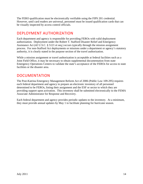The FERO qualification must be electronically verifiable using the FIPS 201 credential. However, until card readers are universal, personnel must be issued qualification cards that can be visually inspected by access control officials.

## DEPLOYMENT AUTHORIZATION

Each department and agency is responsible for providing FEROs with valid deployment authorization. Deployment under the Robert T. Stafford Disaster Relief and Emergency Assistance Act (42 U.S.C. § 5121 et seq.) occurs typically through the mission assignment process. For non-Stafford Act deployments or missions under a department or agency's statutory authority, it is clearly stated in the purpose section of the travel authorization.

While a mission assignment or travel authorization is acceptable at federal facilities such as a Joint Field Office, it may be necessary to obtain supplemental documentation from state Emergency Operations Centers to validate the state's acceptance of the FEROs for access to state facilities or the disaster area.

## DOCUMENTATION

The Post-Katrina Emergency Management Reform Act of 2006 (Public Law 109-295) requires each federal department and agency to prepare an electronic inventory of all personnel determined to be FEROs, listing their assignment and the ESF or sector to which they are providing support upon activation. This inventory shall be submitted electronically to the FEMA Associate Administrator for Response and Recovery.

Each federal department and agency provides periodic updates to the inventory. At a minimum, they must provide annual updates by May 1 to facilitate planning for hurricane season.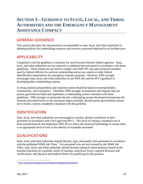# **SECTION 3 – GUIDANCE TO STATE, LOCAL, AND TRIBAL AUTHORITIES AND THE EMERGENCY MANAGEMENT ASSISTANCE COMPACT**

## GENERAL GUIDANCE

This section describes the characteristics recommended to state, local, and tribal authorities in adopting policies for credentialing response and recovery personnel deployed to an incident area.

## APPLICABILITY

Compliance with the guideline is voluntary for non-Executive Branch federal agencies. State, local, and tribal authorities are not required to credential their personnel in accordance with these guidelines. These entities do not need to comply with FIPS 201, the open technical standard used by federal officials for uniform credentialing and access control or other federal identification requirements for emergency response purposes. However, DHS strongly encourages state, local, and tribal authorities to use FIPS 201 and the PIV-I guidance in developing their credentialing systems.

A strong national preparedness and response system should be based on interoperability, commonality, and consistency. Therefore, DHS strongly recommends and requests that our partner governments build and implement a credentialing system consistent with these guidelines. DHS strongly recommends that the credentialing system developed incorporates the elements described herein to the maximum degree possible, should partner governments choose not to build a system completely compliant with the guideline.

## IDENTIFICATION

State, local, and tribal authorities are encouraged to conduct identity enrollment of their personnel in accordance with GSA approved PIV-I. This level of vetting is essential even if these jurisdictions do not implement FIPS 201 or utilize the smartcard technology to ensure there is an appropriate level of trust in the identity of responder personnel.

## QUALIFICATIONS

State, local, and tribal authorities should identify, type, and qualify their personnel in accordance with the published NIMS Job Titles.<sup>5</sup> For personnel who are not covered by the NIMS Job Titles, state, local, and tribal authorities should develop typing for these positions based on the essential functions of a position, levels of training, experience levels, required licensure and certifications, and physical and medical fitness for qualifying for the position.

 $\overline{a}$ <sup>5</sup> www.fema.gov/emergency/nims/ResourceMngmnt.shtm#item3.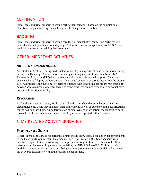## **CERTIFICATION**

State, local, and tribal authorities should certify their personnel based on the completion of identity vetting and meeting the qualifications for the position to be filled.

#### BADGING

State, local, and tribal authorities should card their personnel after completing certification of their identity and qualifications and typing. Authorities are encouraged to utilize FIPS 201 and the PIV-I guidance for badging their personnel.

## OTHER IMPORTANT ACTIVITIES

#### **AUTHORIZATION AND ACCESS**

As detailed in Section 1, being credentialed for identity and qualification is not authority for any person to self-deploy. Authorization for deployment may consist of order numbers, EMAC Request for Assistance (REQ-A), or travel authorizations with a stated purpose. Generally, persons who self-deploy without authorization should expect to be turned away from the disaster site. Additionally, the public safety personnel tasked with controlling access are responsible for denying access to unsafe or controlled areas by persons who are not credentialed or do not have proper authorization to deploy.

#### **REVOCATION**

As detailed in Section 1, state, local, and tribal authorities should ensure that personnel are credentialed only while they maintain their employment as well as currency in the qualifications for the position they hold. Upon termination of employment or affiliation, the authorities must revoke his or her credential and ensure that IT systems are updated within 18 hours.

## NIMS‐RELATED ACTIVITY GUIDANCE

#### **PREPAREDNESS GRANTS**

Federal agencies that make preparedness grants should allow state, local, and tribal governments to use these funds to implement the guideline, per NIMS Guide 0002. State agencies with devolved responsibility for awarding federal preparedness grant funds to tribes should allow these funds to be used to implement the guideline, per NIMS Guide 0002. Nothing in this guideline requires any state, local, or tribal government to implement this guideline for mutual aid delivered exclusively within their jurisdictional borders.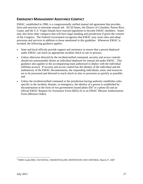#### **EMERGENCY MANAGEMENT ASSISTANCE COMPACT**

EMAC, established in 1996, is a congressionally ratified mutual aid agreement that provides form and structure to interstate mutual aid. All 50 States, the District of Columbia, Puerto Rico, Guam, and the U.S. Virgin Islands have enacted legislation to become EMAC members. States may also form other compacts that will have legal standing and jurisdiction if given the consent of the Congress. The Federal Government recognizes that EMAC may issue rules and adopt processes and services in addition to those mentioned in this guideline. Whenever EMAC is invoked, the following guidance applies:

- State and local officials provide support and assistance to ensure that a person deployed under EMAC can reach an appropriate incident check-in site or process;
- Unless otherwise directed by the incident/unified command, security and access controls should not unreasonably detain an individual deployed for mutual aid under EMAC. This guidance also applies to the accompanying team authorized to deploy with the individual (affiliate-access). If security and access control has the identity of the individual and the authenticity of the EMAC documentation, the responding individuals, team, and resources are to be processed and directed to reach check-in sites or processes as quickly as possible; and
- Unless the incident/unified command or the jurisdiction having authority establishes rules specific to the incident, disaster, or emergency, the identity of a person is established by documentation in the form of two government-issued photo  $\text{IDS}^6$  or a photo ID and an official EMAC Request for Assistance Form (REQ-A) or an EMAC Mission Authorization Form (Mission Order).

 6 NIMS Guide 0002, NATIONAL CREDENTIALING DEFINITION AND CRITERIA, March 27, 2007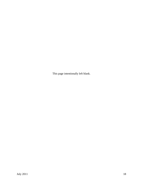This page intentionally left blank.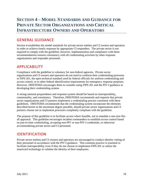# **SECTION 4 – MODEL STANDARDS AND GUIDANCE FOR PRIVATE SECTOR ORGANIZATIONS AND CRITICAL INFRASTRUCTURE OWNERS AND OPERATORS**

## GENERAL GUIDANCE

Section 4 establishes the model standards for private sector entities and CI owners and operators in order to achieve timely response by appropriate CI responders. The private sector is not required to comply with the guideline, however, implementation and compliance with these recommendations ensures consistency with all credentialing activities by other response organizations and responder personnel.

## APPLICABILITY

Compliance with the guideline is voluntary for non-federal agencies. Private sector organizations and CI owners and operators do not need to conform their credentialing processes to FIPS 201, the open technical standard used by federal officials for uniform credentialing and access control, or to other federal identification requirements for emergency response purposes. However, DHS/FEMA encourages them to consider using FIPS 201 and the PIV-I guidance in developing their credentialing system.

A strong national preparedness and response system should be based on interoperability, commonality, and consistency. Therefore, DHS/FEMA recommends and requests that private sector organizations and CI partners implement a credentialing process consistent with these guidelines. DHS/FEMA recommends that the credentialing system incorporate the elements described herein to the maximum degree possible, should private sector organizations and CI partners choose not to implement processes completely compliant with the guideline.

The purpose of this guideline is to facilitate access where feasible, not to mandate a one-size-fitsall approach. This guideline encourages incident commanders to establish access control based on just-in-time credentialing, accepting non-PIV or non-PIV-I credentials, or otherwise accommodating private sector and CI personnel.

## IDENTIFICATION

Private sector entities and CI owners and operators are encouraged to conduct identity vetting of their personnel in accordance with the PIV-I guidance. This common practice is essential to facilitate interoperability even if they do not choose to implement FIPS 201 or utilize the smartcard technology to validate the identity of their employees.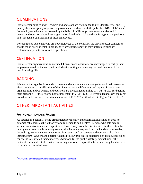## QUALIFICATIONS

Private sector entities and CI owners and operators are encouraged to pre-identify, type, and qualify their emergency response employees in accordance with the published NIMS Job Titles.<sup>7</sup> For employees who are not covered by the NIMS Job Titles, private sector entities and CI owners and operators should use organizational and industrial standards for typing the positions and subsequent qualification of these employees.

For contracted personnel who are not employees of the company, the private sector companies should make every attempt to pre-identify any contractors who may potentially support restoration of private sector or CI operations.

#### **CERTIFICATION**

Private sector organizations, to include CI owners and operators, are encouraged to certify their employees based on the completion of identity vetting and meeting the qualifications of the position being filled.

#### BADGING

Private sector organizations and CI owners and operators are encouraged to card their personnel after completion of certification of their identity and qualifications and typing. Private sector organizations and CI owners and operators are encouraged to utilize PIV-I/FIPS 201 for badging their personnel. If they choose not to implement PIV-I/FIPS 201 electronic technology, the cards issued should conform to the visual elements of FIPS 201 as illustrated in Figure 1 in Section 1.

## OTHER IMPORTANT ACTIVITIES

#### **AUTHORIZATION AND ACCESS**

As detailed in Section 1, being credentialed for identity and qualification/affiliation does not automatically serve as the authority for any person to self-deploy. Persons who self-deploy without authorization should expect to be turned away from the disaster site. Authorization for deployment can come from many sources that include a request from the incident commander, through a government emergency operation center, or from owners and operators of critical infrastructure. Owners and operators should follow procedures established by local jurisdictions for access to restricted incident areas. Additionally, the public safety personnel, under the incident commander, tasked with controlling access are responsible for establishing local access to unsafe or controlled areas.

<sup>1</sup> <sup>7</sup> www.fema.gov/emergency/nims/ResourceMngmnt.shtm#item3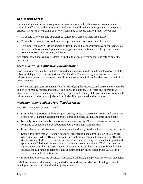#### **AFFILIATION ACCESS**

Implementing an access control process to enable more rapid private-sector response and restoration efforts provides numerous benefits for overall incident management and response efforts. The three overarching goals of establishing an access control process for CI are:

- To enable CI owners and operators to restore their affected facilities quickly;
- To enable more rapid restoration of vital private sector economic activity; and
- To support the core NIMS principles of flexibility and standardization by encouraging state and local authorities to adopt a common approach to affiliation access for private-sector companies associated with any CI sector.

Affiliation-based access may be delayed until authorities determine that it is safe to enter the disaster site.

#### *Access Control and Affiliation Documentation*

Processes for access control and affiliation documentation should be administered by the states, tribes, or delegated to local authorities. The Incident Commander grants access to critical infrastructure owners and operators' facilities and services within an incident area and within a given timeline.

CI owners and operators are responsible for identifying the resources and personnel that will be deployed to repair, restore, and operate facilities. In addition, CI owners and operators will provide necessary documentation to deployed personnel. Finally, CI owners and operators will inform the authorities having jurisdiction of identified personnel and resources.

#### *Implementation Guidance for Affiliation Access*

The affiliation access process should:

- Ensure that appropriate authorities grant priority access to personnel, crews, and equipment needed for CI damage assessment and restoration before, during, and after an incident;
- Be easily communicated by government personnel to any CI or private sector requesting company to expedite their collaboration with the Incident Commander;
- Ensure that access decisions are communicated and recognized at all levels of access control;
- Enable processes that will support advance identification and authorization of CI entities, when practical. When affiliated personnel are not pre-credentialed public safety officials should work with the CI to expedite access. For example, it may be advisable to provide the appropriate affiliation documentation or credentials to certain known CI officials who will require access for damage assessments. However, it most likely is not possible to know in advance the full range of personnel and equipment that will be called in for CI facility or service repair and restoration; and
- Ensure that processes are consistent for state, local, tribal, and private-sector constituencies.

FEMA recommends that state, local, and tribal authorities consider the following actions in developing access control within their jurisdictions: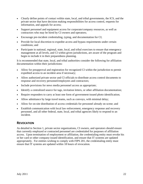- Clearly define points of contact within state, local, and tribal governments, the ICS, and the private sector that have decision making responsibilities for access control, requests for information, and appeals for access;
- Support personnel and equipment access for corporate/company resources, as well as contractors who may be hired by CI owners and operators;
- Encourage pre-incident credentialing, typing, and documentation for CI;
- Provide for local discretion to expedite access and bypass requirements under certain conditions; and
- Participate in national, regional, state, local, and tribal exercises to ensure that emergency management at all levels, and CI within given jurisdictions, are aware of the program and begin to include it in their preparedness planning.

It is recommended that state, local, and tribal authorities consider the following for affiliation documentation within their jurisdictions:

- Allow for preapproval and registration for recognized CI within the jurisdiction to permit expedited access to an incident area if necessary;
- Allow authorized private sector and CI officials to distribute access control documents to response and recovery personnel/employees and contractors;
- Include provisions for news media personnel access as appropriate;
- Identify a centralized source for tags, invitation letters, or other affiliation documentation;
- Require responders to carry at least one form of government-issued photo identification;
- Allow admittance by large travel teams, such as convoys, with minimal delay;
- Allow for on-site distribution of access credentials for personnel already on scene; and
- Establish communication with local law enforcement, emergency response and recovery personnel, and all other federal, state, local, and tribal agencies likely to respond to an incident.

#### **REVOCATION**

As detailed in Section 1, private sector organizations, CI owners, and operators should ensure that currently employed or contracted personnel are credentialed for purposes of affiliation access. Upon termination of employment or affiliation, the credentialing entity must revoke his or her card or other company-issued identification, and ensure that IT systems are updated appropriately. For entities wishing to comply with FIPS 201, the credentialing entity must ensure that IT systems are updated within 18 hours of revocation.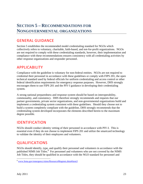# **SECTION 5 – RECOMMENDATIONS FOR NONGOVERNMENTAL ORGANIZATIONS**

## GENERAL GUIDANCE

Section 5 establishes the recommended model credentialing standard for NGOs which collectively refers to voluntary, charitable, faith-based, and not-for-profit organizations. NGOs are not required to comply with these credentialing standards, however, their implementation and compliance with these recommendations ensures consistency with all credentialing activities by other response organizations and responder personnel.

## APPLICABILITY

Compliance with the guideline is voluntary for non-federal entities. NGOs are not required to credential their personnel in accordance with these guidelines or comply with FIPS 201, the open technical standard used by federal officials for uniform credentialing and access control or other federal identification requirements for emergency response purposes. However, DHS strongly encourages them to use FIPS 201 and the PIV-I guidance in developing their credentialing system.

A strong national preparedness and response system should be based on interoperability, commonality, and consistency. DHS therefore strongly recommends and requests that our partner governments, private sector organizations, and non-governmental organizations build and implement a credentialing system consistent with these guidelines. Should they choose not to build a system completely compliant with the guideline, DHS strongly recommends that the credentialing system developed incorporates the elements described herein to the maximum degree possible.

## IDENTIFICATION

NGOs should conduct identity vetting of their personnel in accordance with PIV-I. This is essential even if they do not choose to implement FIPS 201 and utilize the smartcard technology to validate the identity of their employees and volunteers.

## QUALIFICATIONS

NGOs should identify, type, and qualify their personnel and volunteers in accordance with the published NIMS Job Titles. $\frac{8}{3}$  For personnel and volunteers who are not covered by the NIMS Job Titles, they should be qualified in accordance with the NGO standard for personnel and

 $\overline{a}$ 

<sup>&</sup>lt;sup>8</sup> www.fema.gov/emergency/nims/ResourceMngmnt.shtm#item3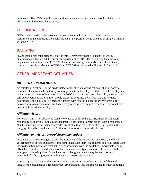volunteers. The NGO should credential these personnel and volunteers based on identity and affiliation with the NGO being served.

## **CERTIFICATION**

NGOs should certify their personnel and volunteer employees based on the completion of identity vetting and meeting the qualifications of the position being filled or by simple affiliation with the NGO.

## BADGING

NGOs should card their personnel only after they have certified their identity, as well as qualification/affiliation. NGOs are encouraged to utilize FIPS 201 for badging their personnel. If they choose not to implement FIPS 201 electronic technology, the cards issued should ideally conform to the visual elements of PIV-I and FIPS 201 as illustrated in Figure 1 in Section 1.

# OTHER IMPORTANT ACTIVITIES

#### **AUTHORIZATION AND ACCESS**

As detailed in Section 1, being credentialed for identity and qualification/affiliation does not automatically serve as the authority for any person to self-deploy. Authorization for deployment may consist of a letter of invitation from an NGO in the disaster area. Generally, persons who self-deploy without authorization should expect to be turned away from the disaster site. Additionally, the public safety personnel tasked with controlling access are responsible for denying access to unsafe or controlled areas by persons who are not credentialed or do not have proper authorization to deploy.

#### *Affiliation Access*

For NGOs, it may not always be feasible or easy to confirm the qualifications of volunteers responding to an event. In this case, documented affiliation (identification) with a recognized NGO responding to the incident provides proof of authorization to deploy. Personnel in this category should be handled under Affiliation Access as recommended below.

#### *Affiliation and Access Control Recommendations*

Organizations are encouraged to seek the assistance of the respective state, tribal, and local governments to ensure consistency and compliance with their requirements and to integrate with the credentialing processes established in conformance with the guideline*.* Individuals who are officially requested, invited, authorized, credentialed, and typed are more likely to reach the emergency check-in points. State, local, and tribal governments may issue conforming credentials for the employees or volunteers of these organizations.

Adopting practices that work in concert with credentialing as defined in the guideline will integrate the organization's response/recovery personnel into the established incident command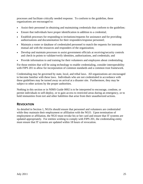processes and facilitate critically needed response. To conform to the guideline*,* these organizations are encouraged to:

- Assist their personnel in obtaining and maintaining credentials that conform to the guideline*;*
- Ensure that individuals have proper identification in addition to a credential;
- Establish processes for responding to invitations/requests for assistance and for providing authorizations and documentation for their responders/response personnel;
- Maintain a roster or database of credentialed personnel to match the requests for interstate mutual aid with the resources and responders of the organization;
- Develop and maintain processes to assist government officials at receiving/security controls and check-in points to validate/verify identities, authorizations, and credentials; and
- Provide information to and training for their volunteers and employees about credentialing.

For those entities that will be using technology to enable credentialing, consider interoperability with FIPS 201 to allow for incorporation of common standards and a common trust framework.

Credentialing may be governed by state, local, and tribal laws. All organizations are encouraged to become familiar with these laws. Individuals who are not credentialed in accordance with these guidelines may be turned away on arrival at a disaster site. Furthermore, they may be subject to other actions by the proper authorities.

Nothing in this section or in NIMS Guide 0002 is to be interpreted to encourage, condone, or permit individuals to self-deploy, or to gain access to restricted areas during an emergency, or to hold immunities from tort and other liabilities that arise from their unauthorized actions.

#### **REVOCATION**

As detailed in Section 1, NGOs should ensure that personnel and volunteers are credentialed while they maintain their employment or affiliation with the NGO. Upon termination of employment or affiliation, the NGO must revoke his or her card and ensure that IT systems are updated appropriately. For entities wishing to comply with FIPS 201, the credentialing entity must ensure that IT systems are updated within 18 hours of revocation.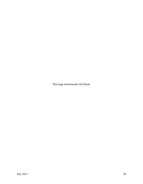This page intentionally left blank.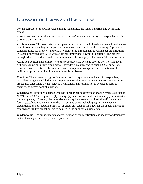# **GLOSSARY OF TERMS AND DEFINITIONS**

For the purposes of the NIMS Credentialing Guidelines, the following terms and definitions apply:

Access: As used in this document, the term "access" refers to the ability of a responder to gain entry to a disaster area.

**Affiliate-access:** This term refers to a type of access, used by individuals who are allowed access to a disaster because they accompany an otherwise authorized individual or entity. It primarily concerns utility repair crews, individuals volunteering through non-governmental organizations (NGOs), or persons associated with a Critical Infrastructure owner or operator. The process through which individuals qualify for access under this category is known as "affiliation access."

**Affiliation access:** This term refers to the procedures and systems devised by states and local authorities to permit utility repair crews, individuals volunteering through NGOs, or persons associated with a Critical Infrastructure owner or operator to expedite the restoration of their facilities or provide services in areas affected by a disaster.

**Check-in:** The process through which resources first report to an incident. All responders, regardless of agency affiliation, must report in to receive an assignment in accordance with the procedures established by the Incident Commander. This term is not to be used to refer to security and access control situations.

**Credentialed**: Describes a person who has in his or her possession *all three* elements outlined in NIMS Guide 0002 (i.e., proof of (1) identity, (2) qualification or affiliation, and (3) authorization for deployment). Currently the three elements may be presented in physical and/or electronic format (e.g., hard-copy material or data transmitted using technologies). Any elements of credentialing established under EMAC, or under any state or tribal law for the specific intent of complying with this guideline, are to be used in the applicable jurisdiction.

**Credentialing:** The authentication and verification of the certification and identity of designated incident managers and emergency responders.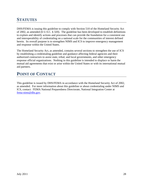# **STATUTES**

DHS/FEMA is issuing this guideline to comply with Section 510 of the Homeland Security Act of 2002, as amended (6 U.S.C. § 320). The guideline has been developed to establish definitions to explain and identify actions and processes that can provide the foundation for a consistent use and interoperability of credentialing on a national scale for the communities of interest defined herein. Its overall purpose is to strengthen NIMS and ICS to improve emergency management and response within the United States.

The Homeland Security Act, as amended, contains several sections to strengthen the use of ICS by establishing a credentialing guideline and guidance affecting federal agencies and their authorized contractors to assist state, tribal, and local governments, and other emergency response official organizations. Nothing in this guideline is intended to displace or harm the mutual aid agreements that exist or arise within the United States or with its international mutual aid partners.

# **POINT OF CONTACT**

This guideline is issued by DHS/FEMA in accordance with the Homeland Security Act of 2002, as amended. For more information about this guideline or about credentialing under NIMS and ICS, contact: FEMA National Preparedness Directorate, National Integration Center at fema-nims@dhs.gov.